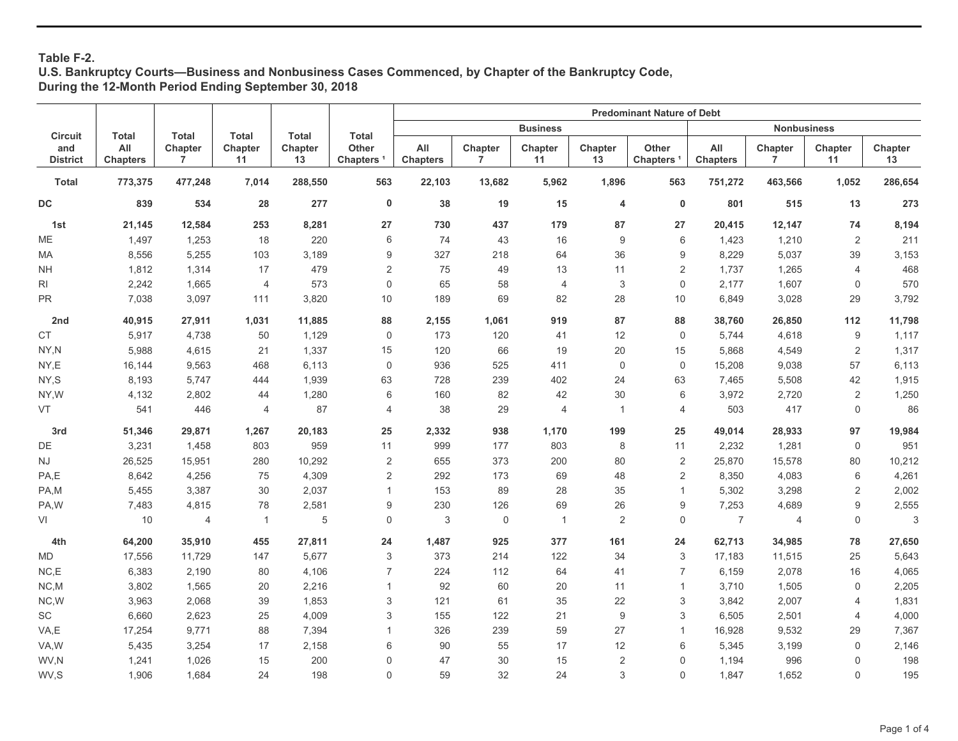# **Table F-2.**

### **U.S. Bankruptcy Courts—Business and Nonbusiness Cases Commenced, by Chapter of the Bankruptcy Code, During the 12-Month Period Ending September 30, 2018**

|                              |                        |                |                |               | <b>Predominant Nature of Debt</b> |                        |              |                 |                |                                 |                        |                           |                |               |
|------------------------------|------------------------|----------------|----------------|---------------|-----------------------------------|------------------------|--------------|-----------------|----------------|---------------------------------|------------------------|---------------------------|----------------|---------------|
| <b>Circuit</b>               | <b>Total</b>           | Total          | <b>Total</b>   | <b>Total</b>  | Total                             |                        |              | <b>Business</b> |                |                                 |                        | <b>Nonbusiness</b>        |                |               |
| and<br><b>District</b>       | All<br><b>Chapters</b> | Chapter<br>7   | Chapter<br>11  | Chapter<br>13 | Other<br>Chapters <sup>1</sup>    | All<br><b>Chapters</b> | Chapter<br>7 | Chapter<br>11   | Chapter<br>13  | <b>Other</b><br><b>Chapters</b> | All<br><b>Chapters</b> | Chapter<br>$\overline{7}$ | Chapter<br>11  | Chapter<br>13 |
| <b>Total</b>                 | 773,375                | 477,248        | 7,014          | 288,550       | 563                               | 22,103                 | 13,682       | 5,962           | 1,896          | 563                             | 751,272                | 463,566                   | 1,052          | 286,654       |
| DC                           | 839                    | 534            | 28             | 277           | $\mathbf 0$                       | 38                     | 19           | 15              | 4              | $\mathbf 0$                     | 801                    | 515                       | 13             | 273           |
| 1st                          | 21,145                 | 12,584         | 253            | 8,281         | 27                                | 730                    | 437          | 179             | 87             | 27                              | 20,415                 | 12,147                    | 74             | 8,194         |
| ME                           | 1,497                  | 1,253          | 18             | 220           | 6                                 | 74                     | 43           | 16              | 9              | 6                               | 1,423                  | 1,210                     | 2              | 211           |
| МA                           | 8,556                  | 5,255          | 103            | 3,189         | 9                                 | 327                    | 218          | 64              | 36             | 9                               | 8,229                  | 5,037                     | 39             | 3,153         |
| <b>NH</b>                    | 1,812                  | 1,314          | 17             | 479           | $\overline{2}$                    | 75                     | 49           | 13              | 11             | $\overline{2}$                  | 1,737                  | 1,265                     | $\overline{4}$ | 468           |
| RI                           | 2,242                  | 1,665          | $\overline{4}$ | 573           | $\mathbf 0$                       | 65                     | 58           | $\overline{4}$  | 3              | $\mathbf 0$                     | 2,177                  | 1,607                     | $\mathbf 0$    | 570           |
| <b>PR</b>                    | 7,038                  | 3,097          | 111            | 3,820         | 10                                | 189                    | 69           | 82              | 28             | 10                              | 6,849                  | 3,028                     | 29             | 3,792         |
| 2nd                          | 40,915                 | 27,911         | 1,031          | 11,885        | 88                                | 2,155                  | 1,061        | 919             | 87             | 88                              | 38,760                 | 26,850                    | 112            | 11,798        |
| $\mathsf{CT}$                | 5,917                  | 4,738          | 50             | 1,129         | $\mathbf 0$                       | 173                    | 120          | 41              | 12             | $\mathbf 0$                     | 5,744                  | 4,618                     | 9              | 1,117         |
| NY,N                         | 5,988                  | 4,615          | 21             | 1,337         | 15                                | 120                    | 66           | 19              | 20             | 15                              | 5,868                  | 4,549                     | $\sqrt{2}$     | 1,317         |
| NY,E                         | 16,144                 | 9,563          | 468            | 6,113         | $\mathbf 0$                       | 936                    | 525          | 411             | $\mathsf 0$    | $\mathsf 0$                     | 15,208                 | 9,038                     | 57             | 6,113         |
| NY,S                         | 8,193                  | 5,747          | 444            | 1,939         | 63                                | 728                    | 239          | 402             | 24             | 63                              | 7,465                  | 5,508                     | 42             | 1,915         |
| NY,W                         | 4,132                  | 2,802          | 44             | 1,280         | 6                                 | 160                    | 82           | 42              | 30             | 6                               | 3,972                  | 2,720                     | 2              | 1,250         |
| VT                           | 541                    | 446            | 4              | 87            | $\overline{4}$                    | 38                     | 29           | 4               | $\mathbf{1}$   | $\overline{4}$                  | 503                    | 417                       | 0              | 86            |
| 3rd                          | 51,346                 | 29,871         | 1,267          | 20,183        | 25                                | 2,332                  | 938          | 1,170           | 199            | 25                              | 49,014                 | 28,933                    | 97             | 19,984        |
| DE                           | 3,231                  | 1,458          | 803            | 959           | 11                                | 999                    | 177          | 803             | 8              | 11                              | 2,232                  | 1,281                     | $\mathbf 0$    | 951           |
| <b>NJ</b>                    | 26,525                 | 15,951         | 280            | 10,292        | $\overline{2}$                    | 655                    | 373          | 200             | 80             | $\sqrt{2}$                      | 25,870                 | 15,578                    | 80             | 10,212        |
| PA,E                         | 8,642                  | 4,256          | 75             | 4,309         | $\overline{2}$                    | 292                    | 173          | 69              | 48             | $\overline{2}$                  | 8,350                  | 4,083                     | 6              | 4,261         |
| PA,M                         | 5,455                  | 3,387          | 30             | 2,037         | $\overline{1}$                    | 153                    | 89           | 28              | 35             | $\mathbf{1}$                    | 5,302                  | 3,298                     | $\overline{2}$ | 2,002         |
| PA,W                         | 7,483                  | 4,815          | 78             | 2,581         | 9                                 | 230                    | 126          | 69              | 26             | 9                               | 7,253                  | 4,689                     | 9              | 2,555         |
| VI                           | 10                     | $\overline{4}$ | $\mathbf{1}$   | 5             | $\mathbf 0$                       | 3                      | $\mathbf 0$  | $\mathbf{1}$    | $\overline{c}$ | $\mathbf 0$                     | $\overline{7}$         | $\overline{4}$            | $\mathbf 0$    | $\mathbf 3$   |
| 4th                          | 64,200                 | 35,910         | 455            | 27,811        | 24                                | 1,487                  | 925          | 377             | 161            | 24                              | 62,713                 | 34,985                    | 78             | 27,650        |
| MD                           | 17,556                 | 11,729         | 147            | 5,677         | 3                                 | 373                    | 214          | 122             | 34             | 3                               | 17,183                 | 11,515                    | 25             | 5,643         |
| NC, E                        | 6,383                  | 2,190          | 80             | 4,106         | $\overline{7}$                    | 224                    | 112          | 64              | 41             | $\overline{7}$                  | 6,159                  | 2,078                     | 16             | 4,065         |
| NC,M                         | 3,802                  | 1,565          | 20             | 2,216         | $\mathbf{1}$                      | 92                     | 60           | 20              | 11             | $\mathbf{1}$                    | 3,710                  | 1,505                     | $\mathbf 0$    | 2,205         |
| NC,W                         | 3,963                  | 2,068          | 39             | 1,853         | 3                                 | 121                    | 61           | 35              | 22             | 3                               | 3,842                  | 2,007                     | 4              | 1,831         |
| $\operatorname{\textsf{SC}}$ | 6,660                  | 2,623          | 25             | 4,009         | 3                                 | 155                    | 122          | 21              | 9              | 3                               | 6,505                  | 2,501                     | $\overline{4}$ | 4,000         |
| VA,E                         | 17,254                 | 9,771          | 88             | 7,394         | $\overline{1}$                    | 326                    | 239          | 59              | 27             | $\mathbf{1}$                    | 16,928                 | 9,532                     | 29             | 7,367         |
| VA,W                         | 5,435                  | 3,254          | 17             | 2,158         | 6                                 | $90\,$                 | 55           | 17              | 12             | 6                               | 5,345                  | 3,199                     | $\mathsf 0$    | 2,146         |
| WV,N                         | 1,241                  | 1,026          | 15             | 200           | $\mathbf{0}$                      | 47                     | 30           | 15              | $\sqrt{2}$     | $\mathbf 0$                     | 1,194                  | 996                       | 0              | 198           |
| WV,S                         | 1,906                  | 1,684          | 24             | 198           | $\mathbf 0$                       | 59                     | 32           | 24              | 3              | $\mathbf 0$                     | 1,847                  | 1,652                     | 0              | 195           |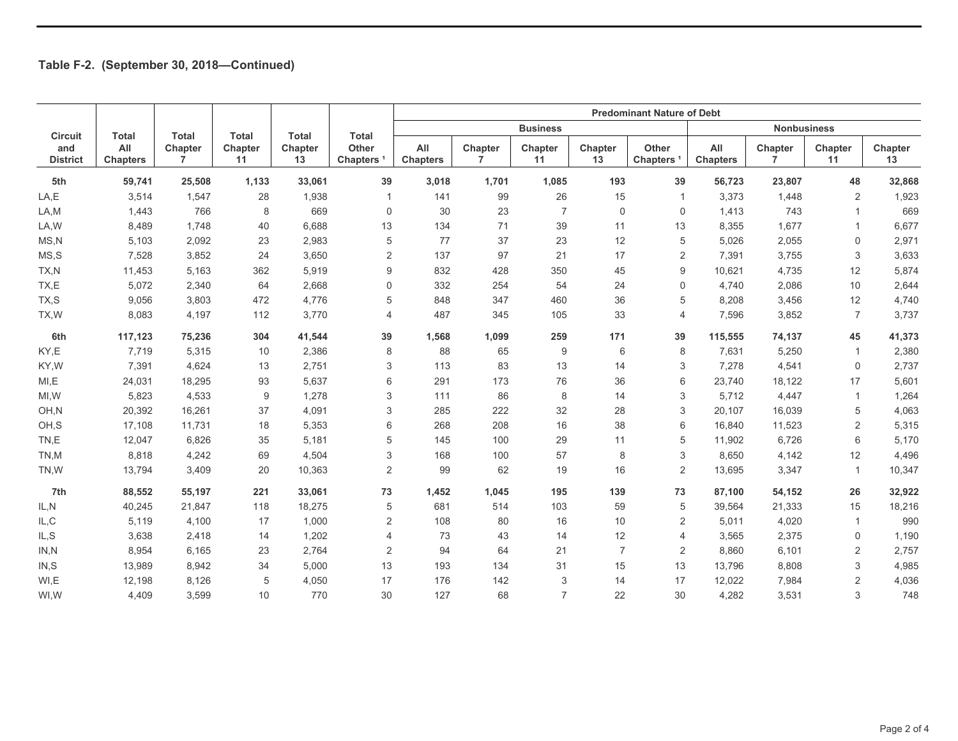|                        |                        |                           |               |               |                                | <b>Predominant Nature of Debt</b> |              |                 |                |                                |                        |                           |                |               |
|------------------------|------------------------|---------------------------|---------------|---------------|--------------------------------|-----------------------------------|--------------|-----------------|----------------|--------------------------------|------------------------|---------------------------|----------------|---------------|
| <b>Circuit</b>         | <b>Total</b>           | <b>Total</b>              | <b>Total</b>  | <b>Total</b>  | <b>Total</b>                   |                                   |              | <b>Business</b> |                |                                |                        | <b>Nonbusiness</b>        |                |               |
| and<br><b>District</b> | All<br><b>Chapters</b> | Chapter<br>$\overline{7}$ | Chapter<br>11 | Chapter<br>13 | Other<br>Chapters <sup>1</sup> | All<br><b>Chapters</b>            | Chapter<br>7 | Chapter<br>11   | Chapter<br>13  | Other<br>Chapters <sup>1</sup> | All<br><b>Chapters</b> | Chapter<br>$\overline{7}$ | Chapter<br>11  | Chapter<br>13 |
| 5th                    | 59,741                 | 25,508                    | 1,133         | 33,061        | 39                             | 3,018                             | 1,701        | 1,085           | 193            | 39                             | 56,723                 | 23,807                    | 48             | 32,868        |
| LA,E                   | 3,514                  | 1,547                     | 28            | 1,938         | $\mathbf 1$                    | 141                               | 99           | 26              | 15             | 1                              | 3,373                  | 1,448                     | 2              | 1,923         |
| LA,M                   | 1,443                  | 766                       | 8             | 669           | $\mathbf 0$                    | 30                                | 23           | $\overline{7}$  | 0              | 0                              | 1,413                  | 743                       | -1             | 669           |
| LA, W                  | 8,489                  | 1,748                     | 40            | 6,688         | 13                             | 134                               | 71           | 39              | 11             | 13                             | 8,355                  | 1,677                     |                | 6,677         |
| MS, N                  | 5,103                  | 2,092                     | 23            | 2,983         | 5                              | 77                                | 37           | 23              | 12             | 5                              | 5,026                  | 2,055                     | 0              | 2,971         |
| MS, S                  | 7,528                  | 3,852                     | 24            | 3,650         | $\overline{2}$                 | 137                               | 97           | 21              | 17             | $\overline{2}$                 | 7,391                  | 3,755                     | 3              | 3,633         |
| TX,N                   | 11,453                 | 5,163                     | 362           | 5,919         | 9                              | 832                               | 428          | 350             | 45             | 9                              | 10,621                 | 4,735                     | 12             | 5,874         |
| TX,E                   | 5,072                  | 2,340                     | 64            | 2,668         | $\mathbf 0$                    | 332                               | 254          | 54              | 24             | 0                              | 4,740                  | 2,086                     | 10             | 2,644         |
| TX,S                   | 9,056                  | 3,803                     | 472           | 4,776         | 5                              | 848                               | 347          | 460             | 36             | 5                              | 8,208                  | 3,456                     | 12             | 4,740         |
| TX, W                  | 8,083                  | 4,197                     | 112           | 3,770         | $\overline{4}$                 | 487                               | 345          | 105             | 33             | $\overline{4}$                 | 7,596                  | 3,852                     | $\overline{7}$ | 3,737         |
| 6th                    | 117,123                | 75,236                    | 304           | 41,544        | 39                             | 1,568                             | 1,099        | 259             | 171            | 39                             | 115,555                | 74,137                    | 45             | 41,373        |
| KY,E                   | 7,719                  | 5,315                     | 10            | 2,386         | 8                              | 88                                | 65           | 9               | 6              | 8                              | 7,631                  | 5,250                     | -1             | 2,380         |
| KY,W                   | 7,391                  | 4,624                     | 13            | 2,751         | 3                              | 113                               | 83           | 13              | 14             | 3                              | 7,278                  | 4,541                     | 0              | 2,737         |
| MI, E                  | 24,031                 | 18,295                    | 93            | 5,637         | 6                              | 291                               | 173          | 76              | 36             | 6                              | 23,740                 | 18,122                    | 17             | 5,601         |
| MI, W                  | 5,823                  | 4,533                     | 9             | 1,278         | 3                              | 111                               | 86           | 8               | 14             | 3                              | 5,712                  | 4,447                     | $\mathbf{1}$   | 1,264         |
| OH,N                   | 20,392                 | 16,261                    | 37            | 4,091         | 3                              | 285                               | 222          | 32              | 28             | 3                              | 20,107                 | 16,039                    | 5              | 4,063         |
| OH,S                   | 17,108                 | 11,731                    | 18            | 5,353         | 6                              | 268                               | 208          | 16              | 38             | 6                              | 16,840                 | 11,523                    | 2              | 5,315         |
| TN,E                   | 12,047                 | 6.826                     | 35            | 5,181         | 5                              | 145                               | 100          | 29              | 11             | 5                              | 11,902                 | 6,726                     | 6              | 5,170         |
| TN,M                   | 8,818                  | 4,242                     | 69            | 4,504         | 3                              | 168                               | 100          | 57              | 8              | 3                              | 8,650                  | 4,142                     | 12             | 4,496         |
| TN,W                   | 13,794                 | 3,409                     | 20            | 10,363        | 2                              | 99                                | 62           | 19              | 16             | $\overline{2}$                 | 13,695                 | 3,347                     | $\mathbf{1}$   | 10,347        |
| 7th                    | 88,552                 | 55,197                    | 221           | 33,061        | 73                             | 1,452                             | 1,045        | 195             | 139            | 73                             | 87,100                 | 54,152                    | 26             | 32,922        |
| IL, N                  | 40,245                 | 21,847                    | 118           | 18,275        | 5                              | 681                               | 514          | 103             | 59             | 5                              | 39,564                 | 21,333                    | 15             | 18,216        |
| IL,C                   | 5,119                  | 4,100                     | 17            | 1,000         | 2                              | 108                               | 80           | 16              | 10             | $\overline{2}$                 | 5,011                  | 4,020                     | 1              | 990           |
| IL, S                  | 3,638                  | 2,418                     | 14            | 1,202         | 4                              | 73                                | 43           | 14              | 12             | $\overline{4}$                 | 3,565                  | 2,375                     | 0              | 1,190         |
| IN.N                   | 8,954                  | 6,165                     | 23            | 2,764         | 2                              | 94                                | 64           | 21              | $\overline{7}$ | $\overline{2}$                 | 8,860                  | 6,101                     | 2              | 2,757         |
| IN, S                  | 13,989                 | 8,942                     | 34            | 5,000         | 13                             | 193                               | 134          | 31              | 15             | 13                             | 13,796                 | 8,808                     | 3              | 4,985         |
| WI,E                   | 12,198                 | 8,126                     | 5             | 4,050         | 17                             | 176                               | 142          | 3               | 14             | 17                             | 12,022                 | 7,984                     | 2              | 4,036         |
| WI,W                   | 4,409                  | 3,599                     | 10            | 770           | 30                             | 127                               | 68           | $\overline{7}$  | 22             | 30                             | 4,282                  | 3,531                     | 3              | 748           |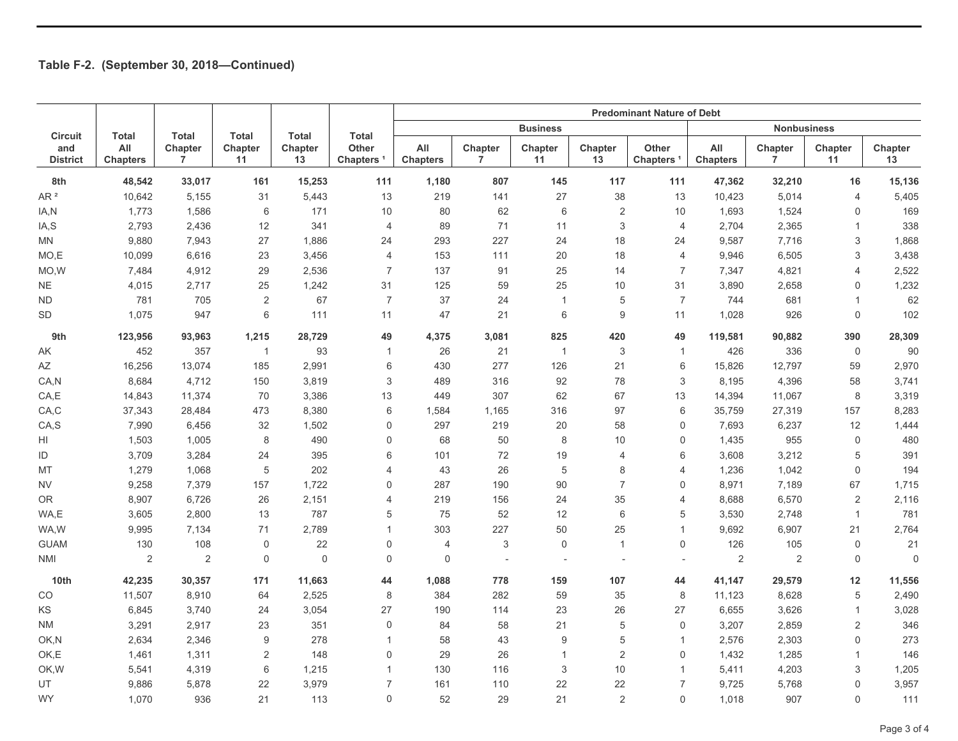|                                                                |                        |                           |                |               |                                       | <b>Predominant Nature of Debt</b> |                           |                           |                          |                                 |                        |                           |                |               |
|----------------------------------------------------------------|------------------------|---------------------------|----------------|---------------|---------------------------------------|-----------------------------------|---------------------------|---------------------------|--------------------------|---------------------------------|------------------------|---------------------------|----------------|---------------|
| <b>Total</b><br><b>Total</b><br><b>Total</b><br><b>Circuit</b> |                        |                           | <b>Total</b>   | <b>Total</b>  |                                       |                                   | <b>Business</b>           |                           |                          |                                 | <b>Nonbusiness</b>     |                           |                |               |
| and<br><b>District</b>                                         | All<br><b>Chapters</b> | Chapter<br>$\overline{7}$ | Chapter<br>11  | Chapter<br>13 | <b>Other</b><br>Chapters <sup>1</sup> | All<br><b>Chapters</b>            | Chapter<br>$\overline{7}$ | Chapter<br>11             | Chapter<br>13            | <b>Other</b><br><b>Chapters</b> | All<br><b>Chapters</b> | Chapter<br>$\overline{7}$ | Chapter<br>11  | Chapter<br>13 |
| 8th                                                            | 48,542                 | 33,017                    | 161            | 15,253        | 111                                   | 1,180                             | 807                       | 145                       | 117                      | 111                             | 47,362                 | 32,210                    | 16             | 15,136        |
| AR <sup>2</sup>                                                | 10,642                 | 5,155                     | 31             | 5,443         | 13                                    | 219                               | 141                       | 27                        | 38                       | 13                              | 10,423                 | 5,014                     | $\overline{4}$ | 5,405         |
| IA,N                                                           | 1,773                  | 1,586                     | 6              | 171           | 10                                    | 80                                | 62                        | 6                         | $\overline{2}$           | 10                              | 1,693                  | 1,524                     | 0              | 169           |
| IA,S                                                           | 2,793                  | 2,436                     | 12             | 341           | $\overline{4}$                        | 89                                | 71                        | 11                        | 3                        | $\overline{4}$                  | 2,704                  | 2,365                     | $\mathbf{1}$   | 338           |
| MN                                                             | 9,880                  | 7,943                     | 27             | 1,886         | 24                                    | 293                               | 227                       | 24                        | 18                       | 24                              | 9,587                  | 7,716                     | 3              | 1,868         |
| MO,E                                                           | 10,099                 | 6,616                     | 23             | 3,456         | $\overline{4}$                        | 153                               | 111                       | 20                        | 18                       | $\overline{4}$                  | 9,946                  | 6,505                     | 3              | 3,438         |
| MO, W                                                          | 7,484                  | 4,912                     | 29             | 2,536         | $\overline{7}$                        | 137                               | 91                        | 25                        | 14                       | $\overline{7}$                  | 7,347                  | 4,821                     | 4              | 2,522         |
| <b>NE</b>                                                      | 4,015                  | 2,717                     | 25             | 1,242         | 31                                    | 125                               | 59                        | 25                        | 10                       | 31                              | 3,890                  | 2,658                     | 0              | 1,232         |
| <b>ND</b>                                                      | 781                    | 705                       | 2              | 67            | $\overline{7}$                        | 37                                | 24                        | $\mathbf{1}$              | 5                        | $\overline{7}$                  | 744                    | 681                       | $\mathbf{1}$   | 62            |
| <b>SD</b>                                                      | 1,075                  | 947                       | 6              | 111           | 11                                    | 47                                | 21                        | 6                         | 9                        | 11                              | 1,028                  | 926                       | $\mathbf 0$    | 102           |
| 9th                                                            | 123,956                | 93,963                    | 1,215          | 28,729        | 49                                    | 4,375                             | 3,081                     | 825                       | 420                      | 49                              | 119,581                | 90,882                    | 390            | 28,309        |
| AΚ                                                             | 452                    | 357                       | $\mathbf{1}$   | 93            | $\mathbf{1}$                          | 26                                | 21                        | $\mathbf{1}$              | 3                        | $\mathbf{1}$                    | 426                    | 336                       | $\mathbf 0$    | 90            |
| AΖ                                                             | 16,256                 | 13,074                    | 185            | 2,991         | 6                                     | 430                               | 277                       | 126                       | 21                       | 6                               | 15,826                 | 12,797                    | 59             | 2,970         |
| CA, N                                                          | 8,684                  | 4,712                     | 150            | 3,819         | 3                                     | 489                               | 316                       | 92                        | 78                       | 3                               | 8,195                  | 4,396                     | 58             | 3,741         |
| CA, E                                                          | 14,843                 | 11,374                    | 70             | 3,386         | 13                                    | 449                               | 307                       | 62                        | 67                       | 13                              | 14,394                 | 11,067                    | 8              | 3,319         |
| CA, C                                                          | 37,343                 | 28,484                    | 473            | 8,380         | 6                                     | 1,584                             | 1,165                     | 316                       | 97                       | 6                               | 35,759                 | 27,319                    | 157            | 8,283         |
| CA,S                                                           | 7,990                  | 6,456                     | 32             | 1,502         | $\mathbf 0$                           | 297                               | 219                       | 20                        | 58                       | 0                               | 7,693                  | 6,237                     | 12             | 1,444         |
| HI                                                             | 1,503                  | 1,005                     | 8              | 490           | $\mathbf 0$                           | 68                                | 50                        | 8                         | 10                       | 0                               | 1,435                  | 955                       | $\mathbf 0$    | 480           |
| ID                                                             | 3,709                  | 3,284                     | 24             | 395           | 6                                     | 101                               | 72                        | 19                        | 4                        | 6                               | 3,608                  | 3,212                     | 5              | 391           |
| MT                                                             | 1,279                  | 1,068                     | 5              | 202           | $\overline{4}$                        | 43                                | 26                        | 5                         | 8                        | $\overline{4}$                  | 1,236                  | 1,042                     | $\Omega$       | 194           |
| <b>NV</b>                                                      | 9,258                  | 7,379                     | 157            | 1,722         | $\mathbf 0$                           | 287                               | 190                       | 90                        | $\overline{7}$           | 0                               | 8,971                  | 7,189                     | 67             | 1,715         |
| <b>OR</b>                                                      | 8,907                  | 6,726                     | 26             | 2,151         | $\overline{4}$                        | 219                               | 156                       | 24                        | 35                       | $\overline{4}$                  | 8,688                  | 6,570                     | 2              | 2,116         |
| WA,E                                                           | 3,605                  | 2,800                     | 13             | 787           | 5                                     | 75                                | 52                        | 12                        | 6                        | 5                               | 3,530                  | 2,748                     | $\mathbf{1}$   | 781           |
| WA,W                                                           | 9,995                  | 7,134                     | 71             | 2,789         | $\mathbf{1}$                          | 303                               | 227                       | 50                        | 25                       | $\mathbf{1}$                    | 9,692                  | 6,907                     | 21             | 2,764         |
| <b>GUAM</b>                                                    | 130                    | 108                       | $\mathbf 0$    | 22            | $\mathbf 0$                           | $\overline{4}$                    | 3                         | $\mathbf 0$               | $\overline{1}$           | $\mathbf 0$                     | 126                    | 105                       | $\mathbf 0$    | 21            |
| <b>NMI</b>                                                     | $\sqrt{2}$             | 2                         | $\mathbf 0$    | $\mathbf 0$   | $\mathbf 0$                           | $\mathbf 0$                       |                           |                           | $\overline{\phantom{a}}$ | $\overline{\phantom{a}}$        | $\sqrt{2}$             | 2                         | $\mathbf 0$    | $\mathbf 0$   |
| 10th                                                           | 42,235                 | 30,357                    | 171            | 11,663        | 44                                    | 1,088                             | 778                       | 159                       | 107                      | 44                              | 41,147                 | 29,579                    | 12             | 11,556        |
| CO                                                             | 11,507                 | 8,910                     | 64             | 2,525         | 8                                     | 384                               | 282                       | 59                        | 35                       | 8                               | 11,123                 | 8,628                     | 5              | 2,490         |
| KS                                                             | 6,845                  | 3,740                     | 24             | 3,054         | 27                                    | 190                               | 114                       | 23                        | 26                       | 27                              | 6,655                  | 3,626                     | $\mathbf{1}$   | 3,028         |
| <b>NM</b>                                                      | 3,291                  | 2,917                     | 23             | 351           | $\mathbf 0$                           | 84                                | 58                        | 21                        | 5                        | $\mathbf 0$                     | 3,207                  | 2,859                     | $\overline{2}$ | 346           |
| OK,N                                                           | 2,634                  | 2,346                     | 9              | 278           | $\overline{1}$                        | 58                                | 43                        | $9\,$                     | 5                        | $\mathbf{1}$                    | 2,576                  | 2,303                     | 0              | 273           |
| OK,E                                                           | 1,461                  | 1,311                     | $\overline{2}$ | 148           | $\mathbf 0$                           | 29                                | 26                        | $\mathbf{1}$              | $\overline{\mathbf{c}}$  | $\mathsf{O}\xspace$             | 1,432                  | 1,285                     | $\mathbf{1}$   | 146           |
| OK, W                                                          | 5,541                  | 4,319                     | $\,6\,$        | 1,215         | $\overline{1}$                        | 130                               | 116                       | $\ensuremath{\mathsf{3}}$ | 10                       | $\mathbf{1}$                    | 5,411                  | 4,203                     | 3              | 1,205         |
| UT                                                             | 9,886                  | 5,878                     | 22             | 3,979         | $\overline{7}$                        | 161                               | 110                       | 22                        | 22                       | $\overline{7}$                  | 9,725                  | 5,768                     | $\Omega$       | 3,957         |
| <b>WY</b>                                                      | 1,070                  | 936                       | 21             | 113           | $\mathbf 0$                           | 52                                | 29                        | 21                        | $\overline{2}$           | $\mathbf 0$                     | 1,018                  | 907                       | 0              | 111           |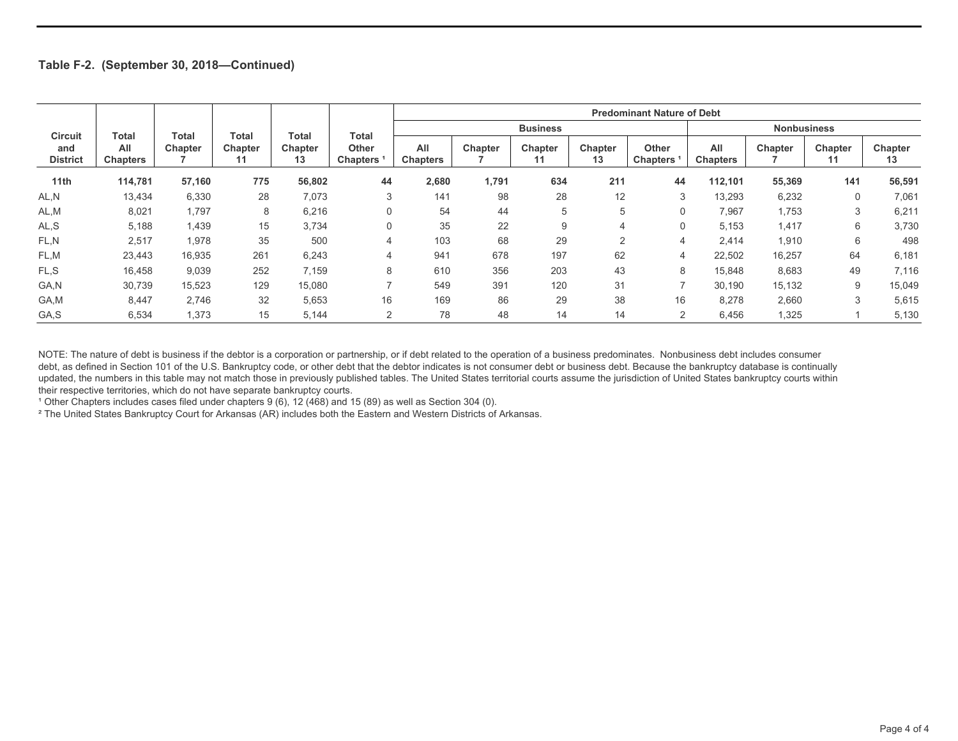|                        |                        |         |               |               |                                 | <b>Predominant Nature of Debt</b> |         |               |                |                                 |                    |         |               |               |
|------------------------|------------------------|---------|---------------|---------------|---------------------------------|-----------------------------------|---------|---------------|----------------|---------------------------------|--------------------|---------|---------------|---------------|
| <b>Circuit</b>         | Total                  | Total   | Total         | Total         | Total                           | <b>Business</b>                   |         |               |                |                                 | <b>Nonbusiness</b> |         |               |               |
| and<br><b>District</b> | All<br><b>Chapters</b> | Chapter | Chapter<br>11 | Chapter<br>13 | <b>Other</b><br><b>Chapters</b> | All<br><b>Chapters</b>            | Chapter | Chapter<br>11 | Chapter<br>13  | <b>Other</b><br><b>Chapters</b> | All<br>Chapters    | Chapter | Chapter<br>11 | Chapter<br>13 |
| 11th                   | 114,781                | 57,160  | 775           | 56,802        | 44                              | 2,680                             | 1,791   | 634           | 211            | 44                              | 112,101            | 55,369  | 141           | 56,591        |
| AL,N                   | 13,434                 | 6,330   | 28            | 7,073         | 3                               | 141                               | 98      | 28            | 12             | 3                               | 13,293             | 6,232   | 0             | 7,061         |
| AL,M                   | 8,021                  | 1,797   | 8             | 6,216         | $\Omega$                        | 54                                | 44      | 5             | 5              |                                 | 7,967              | 1,753   | 3             | 6,211         |
| AL, S                  | 5,188                  | 1,439   | 15            | 3,734         | $\Omega$                        | 35                                | 22      | 9             | 4              | $\Omega$                        | 5,153              | 1,417   | 6             | 3,730         |
| FL.N                   | 2,517                  | 1,978   | 35            | 500           | 4                               | 103                               | 68      | 29            | $\overline{2}$ | $\overline{4}$                  | 2,414              | 1,910   | 6             | 498           |
| FL,M                   | 23,443                 | 16,935  | 261           | 6,243         | 4                               | 941                               | 678     | 197           | 62             | 4                               | 22,502             | 16,257  | 64            | 6,181         |
| FL,S                   | 16,458                 | 9,039   | 252           | 7,159         | 8                               | 610                               | 356     | 203           | 43             | 8                               | 15,848             | 8,683   | 49            | 7,116         |
| GA,N                   | 30,739                 | 15,523  | 129           | 15,080        |                                 | 549                               | 391     | 120           | 31             | ⇁                               | 30,190             | 15,132  | 9             | 15,049        |
| GA,M                   | 8,447                  | 2,746   | 32            | 5,653         | 16                              | 169                               | 86      | 29            | 38             | 16                              | 8,278              | 2,660   | 3             | 5,615         |
| GA,S                   | 6,534                  | 1,373   | 15            | 5,144         | 2                               | 78                                | 48      | 14            | 14             | $\overline{2}$                  | 6,456              | 1,325   |               | 5,130         |

NOTE: The nature of debt is business if the debtor is a corporation or partnership, or if debt related to the operation of a business predominates. Nonbusiness debt includes consumer debt, as defined in Section 101 of the U.S. Bankruptcy code, or other debt that the debtor indicates is not consumer debt or business debt. Because the bankruptcy database is continually updated, the numbers in this table may not match those in previously published tables. The United States territorial courts assume the jurisdiction of United States bankruptcy courts within their respective territories, which do not have separate bankruptcy courts.

<sup>1</sup> Other Chapters includes cases filed under chapters 9 (6), 12 (468) and 15 (89) as well as Section 304 (0).

² The United States Bankruptcy Court for Arkansas (AR) includes both the Eastern and Western Districts of Arkansas.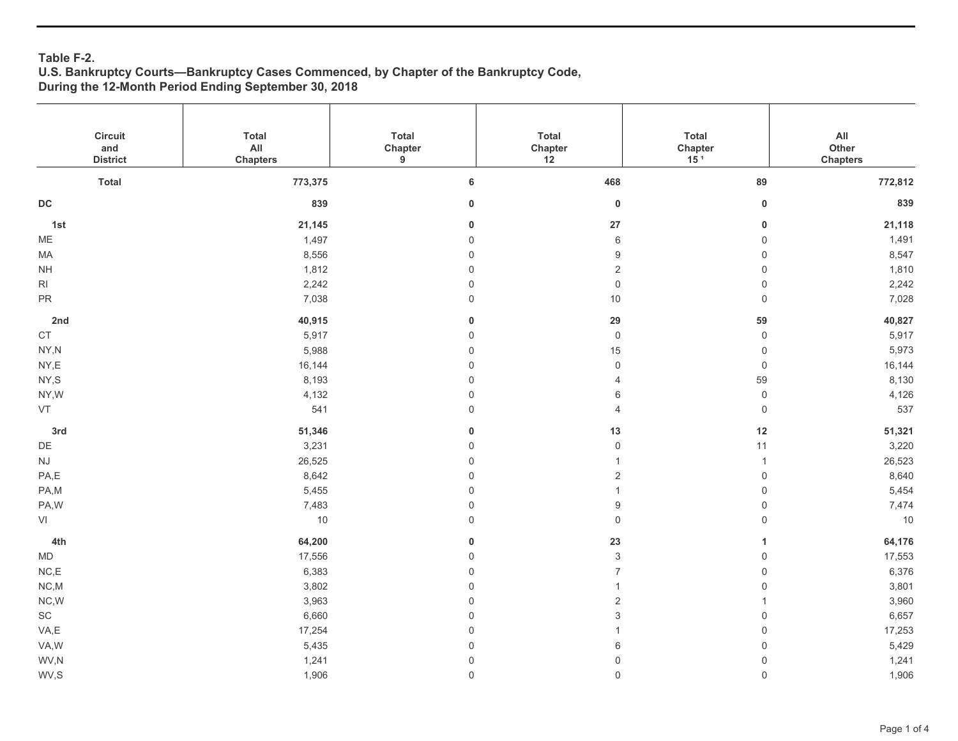### **Table F-2. U.S. Bankruptcy Courts—Bankruptcy Cases Commenced, by Chapter of the Bankruptcy Code, During the 12-Month Period Ending September 30, 2018**

| Circuit<br>and<br><b>District</b> | <b>Total</b><br>$\mathsf{All}$<br><b>Chapters</b> | <b>Total</b><br>Chapter<br>$\boldsymbol{9}$ | Total<br>Chapter<br>12    | Total<br>Chapter<br>15 <sup>1</sup> | $\mathsf{All}\xspace$<br>Other<br><b>Chapters</b> |
|-----------------------------------|---------------------------------------------------|---------------------------------------------|---------------------------|-------------------------------------|---------------------------------------------------|
| <b>Total</b>                      | 773,375                                           | $\bf 6$                                     | 468                       | 89                                  | 772,812                                           |
|                                   |                                                   |                                             |                           |                                     |                                                   |
| $\mathsf{DC}$                     | 839                                               | $\pmb{0}$                                   | $\pmb{0}$                 | $\pmb{0}$                           | 839                                               |
| 1st                               | 21,145                                            | 0                                           | 27                        | $\bf{0}$                            | 21,118                                            |
| ME                                | 1,497                                             | $\mathsf{O}\xspace$                         | 6                         | $\mathbb O$                         | 1,491                                             |
| MA                                | 8,556                                             | $\mathsf{O}\xspace$                         | 9                         | $\mathsf{O}\xspace$                 | 8,547                                             |
| $\mathsf{NH}\,$                   | 1,812                                             | $\mathsf{O}\xspace$                         | $\overline{2}$            | $\mathbf 0$                         | 1,810                                             |
| R <sub>l</sub>                    | 2,242                                             | $\mathsf 0$                                 | $\mathsf{O}\xspace$       | $\mathbb O$                         | 2,242                                             |
| ${\sf PR}$                        | 7,038                                             | $\mathsf 0$                                 | $10$                      | $\mathbf 0$                         | 7,028                                             |
| 2nd                               | 40,915                                            | $\mathbf 0$                                 | 29                        | 59                                  | 40,827                                            |
| $\mathsf{CT}$                     | 5,917                                             | $\mathsf{O}\xspace$                         | $\mathsf{O}\xspace$       | $\mathsf{O}$                        | 5,917                                             |
| NY,N                              | 5,988                                             | $\mathsf{O}\xspace$                         | 15                        | $\mathbf 0$                         | 5,973                                             |
| NY,E                              | 16,144                                            | $\mathsf{O}\xspace$                         | $\mathsf{O}\xspace$       | $\mathbf 0$                         | 16,144                                            |
| NY,S                              | 8,193                                             | $\mathsf 0$                                 | 4                         | 59                                  | 8,130                                             |
| NY,W                              | 4,132                                             | $\mathsf{O}\xspace$                         | 6                         | $\mathbf 0$                         | 4,126                                             |
| VT                                | 541                                               | $\mathsf{O}$                                | $\overline{4}$            | $\mathbb O$                         | 537                                               |
| 3rd                               | 51,346                                            | $\mathbf 0$                                 | $13$                      | 12                                  | 51,321                                            |
| $\mathsf{D}\mathsf{E}$            | 3,231                                             | $\mathsf{O}\xspace$                         | $\mathsf 0$               | 11                                  | 3,220                                             |
| $\mathsf{N}\mathsf{J}$            | 26,525                                            | $\mathsf{O}\xspace$                         | $\mathbf{1}$              | $\mathbf{1}$                        | 26,523                                            |
| PA,E                              | 8,642                                             | $\mathsf{O}\xspace$                         | $\mathbf 2$               | $\mathbf 0$                         | 8,640                                             |
| PA,M                              | 5,455                                             | $\mathsf{O}\xspace$                         | $\mathbf{1}$              | $\mathsf{O}\xspace$                 | 5,454                                             |
| PA,W                              | 7,483                                             | $\mathsf{O}\xspace$                         | $\boldsymbol{9}$          | $\mathsf{O}\xspace$                 | 7,474                                             |
| VI                                | $10$                                              | $\mathsf 0$                                 | $\mathsf{O}\xspace$       | $\mathbf 0$                         | $10$                                              |
| 4th                               | 64,200                                            | $\bf{0}$                                    | 23                        | $\mathbf{1}$                        | 64,176                                            |
| <b>MD</b>                         | 17,556                                            | $\mathsf{O}\xspace$                         | $\ensuremath{\mathsf{3}}$ | $\mathbf 0$                         | 17,553                                            |
| NC, E                             | 6,383                                             | $\mathsf{O}\xspace$                         | $\overline{7}$            | $\mathbf 0$                         | 6,376                                             |
| NC.M                              | 3,802                                             | $\mathsf{O}\xspace$                         | $\mathbf{1}$              | $\mathbf 0$                         | 3,801                                             |
| NC,W                              | 3,963                                             | $\mathsf{O}\xspace$                         | $\sqrt{2}$                | $\mathbf{1}$                        | 3,960                                             |
| $\operatorname{\textsf{SC}}$      | 6,660                                             | $\mathsf{O}\xspace$                         | $\ensuremath{\mathsf{3}}$ | $\mathbf 0$                         | 6,657                                             |
| VA,E                              | 17,254                                            | $\mathsf{O}\xspace$                         | $\mathbf{1}$              | $\mathbf 0$                         | 17,253                                            |
| VA,W                              | 5,435                                             | $\mathsf{O}\xspace$                         | 6                         | $\mathsf{O}\xspace$                 | 5,429                                             |
| WV,N                              | 1,241                                             | $\mathsf{O}\xspace$                         | $\mathsf{O}\xspace$       | $\mathsf{O}\xspace$                 | 1,241                                             |
| WV,S                              | 1,906                                             | $\mathsf{O}$                                | $\mathsf 0$               | $\mathbf 0$                         | 1,906                                             |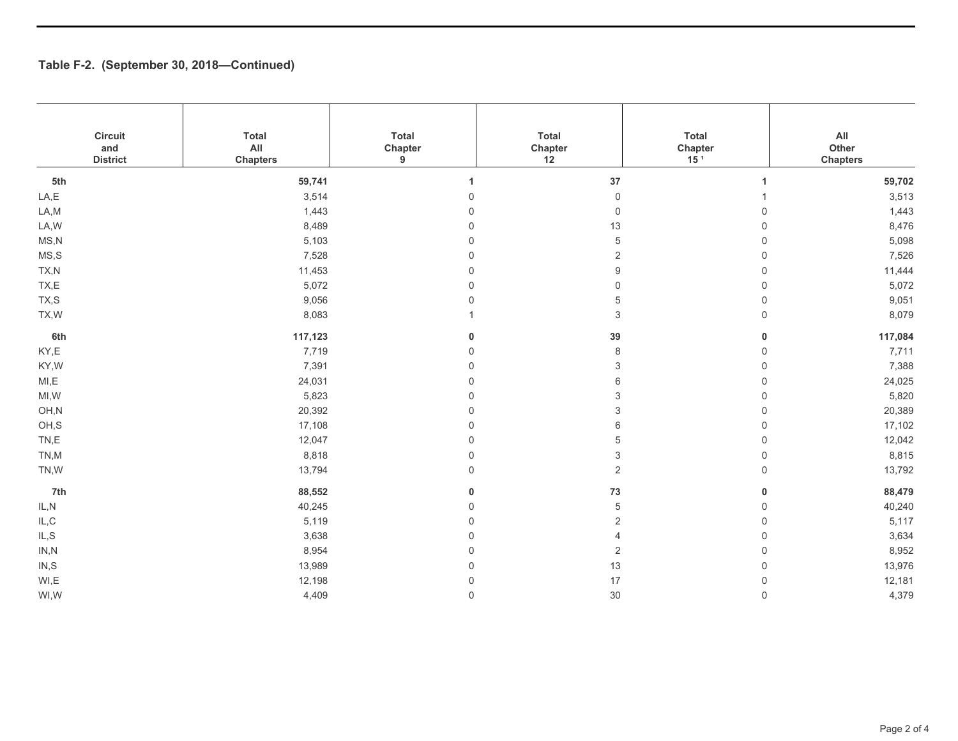| Circuit<br>and<br><b>District</b> | <b>Total</b><br>All<br><b>Chapters</b> | Total<br>Chapter<br>9 | Total<br>Chapter<br>12 | <b>Total</b><br>Chapter<br>15 <sup>1</sup> | $\mathsf{All}\xspace$<br>Other<br><b>Chapters</b> |
|-----------------------------------|----------------------------------------|-----------------------|------------------------|--------------------------------------------|---------------------------------------------------|
| 5th                               | 59,741                                 |                       | 37                     | 1                                          | 59,702                                            |
| LA,E                              | 3,514                                  | 0                     | $\mathsf{O}\xspace$    | 1                                          | 3,513                                             |
| LA, M                             | 1,443                                  | $\mathbf 0$           | $\mathsf{O}$           | $\mathbf 0$                                | 1,443                                             |
| LA, W                             | 8,489                                  | $\mathbf 0$           | 13                     | 0                                          | 8,476                                             |
| MS, N                             | 5,103                                  | $\mathbf 0$           | 5                      | $\mathbf 0$                                | 5,098                                             |
| MS, S                             | 7,528                                  | $\mathbf 0$           | 2                      | $\mathbf 0$                                | 7,526                                             |
| TX,N                              | 11,453                                 | $\mathbf 0$           | 9                      | 0                                          | 11,444                                            |
| TX,E                              | 5,072                                  | $\mathbf 0$           | 0                      | $\mathbf 0$                                | 5,072                                             |
| TX,S                              | 9,056                                  | $\mathbf 0$           | 5                      | $\mathbf 0$                                | 9,051                                             |
| TX, W                             | 8,083                                  |                       | 3                      | $\mathbf 0$                                | 8,079                                             |
| 6th                               | 117,123                                | 0                     | 39                     | $\bf{0}$                                   | 117,084                                           |
| KY,E                              | 7,719                                  | 0                     | 8                      | $\mathbf 0$                                | 7,711                                             |
| KY,W                              | 7,391                                  | $\Omega$              | 3                      | 0                                          | 7,388                                             |
| MI, E                             | 24,031                                 | $\mathbf 0$           | 6                      | $\mathbf 0$                                | 24,025                                            |
| MI, W                             | 5,823                                  | $\mathbf 0$           | 3                      | $\mathbf 0$                                | 5,820                                             |
| OH,N                              | 20,392                                 | $\mathbf 0$           | 3                      | 0                                          | 20,389                                            |
| OH,S                              | 17,108                                 | 0                     | 6                      | $\mathbf 0$                                | 17,102                                            |
| TN,E                              | 12,047                                 | $\mathbf 0$           | 5                      | $\mathbf 0$                                | 12,042                                            |
| TN,M                              | 8,818                                  | $\mathbf 0$           | 3                      | $\mathbf 0$                                | 8,815                                             |
| TN,W                              | 13,794                                 | $\mathsf 0$           | $\overline{2}$         | $\mathsf{O}\xspace$                        | 13,792                                            |
| 7th                               | 88,552                                 | $\pmb{0}$             | ${\bf 73}$             | $\mathbf 0$                                | 88,479                                            |
| IL, N                             | 40,245                                 | $\Omega$              | 5                      | 0                                          | 40,240                                            |
| $\mathsf{IL}, \mathsf{C}$         | 5,119                                  | $\mathbf 0$           | 2                      | $\mathbf 0$                                | 5,117                                             |
| IL, S                             | 3,638                                  | $\Omega$              | $\overline{4}$         | $\mathbf 0$                                | 3,634                                             |
| IN, N                             | 8,954                                  | $\Omega$              | 2                      | $\mathbf 0$                                | 8,952                                             |
| IN, S                             | 13,989                                 | 0                     | 13                     | 0                                          | 13,976                                            |
| WI,E                              | 12,198                                 | $\mathbf 0$           | 17                     | $\mathbf 0$                                | 12,181                                            |
| WI,W                              | 4,409                                  | $\Omega$              | 30                     | $\mathbf 0$                                | 4,379                                             |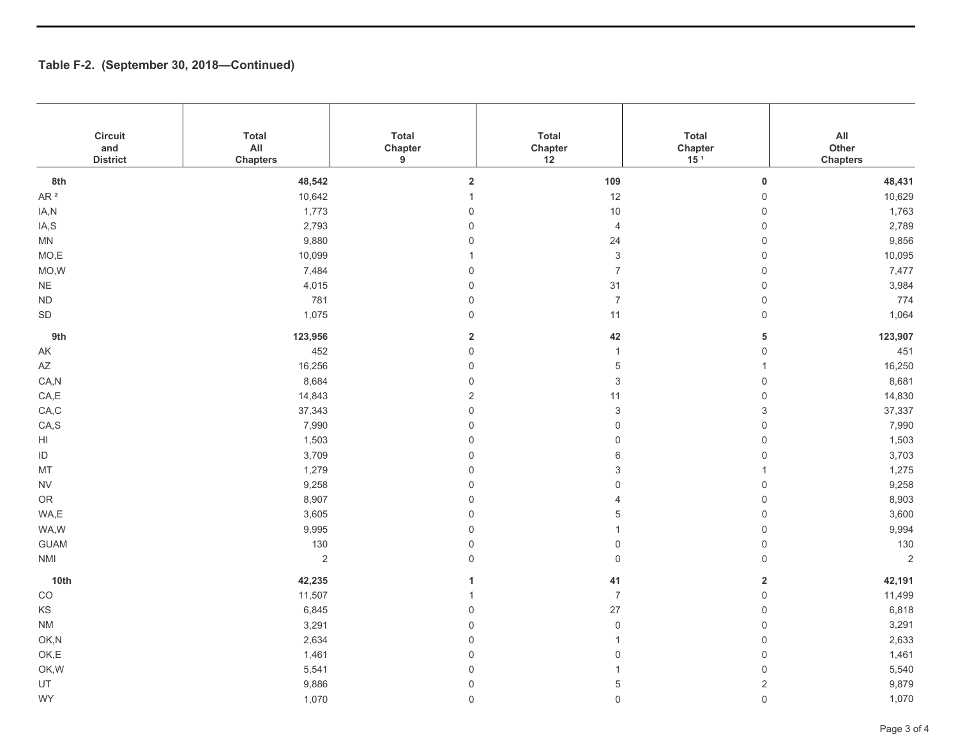| Circuit<br>and<br><b>District</b> | <b>Total</b><br>AlI<br><b>Chapters</b> | Total<br>Chapter<br>9 | <b>Total</b><br>Chapter<br>12 | <b>Total</b><br>Chapter<br>15 <sup>1</sup> | $\mathsf{All}\xspace$<br>Other<br><b>Chapters</b> |
|-----------------------------------|----------------------------------------|-----------------------|-------------------------------|--------------------------------------------|---------------------------------------------------|
| 8th                               | 48,542                                 | $\mathbf 2$           | 109                           | $\pmb{0}$                                  | 48,431                                            |
| AR $^2$                           | 10,642                                 | $\mathbf{1}$          | 12                            | $\mathsf{O}\xspace$                        | 10,629                                            |
| IA,N                              | 1,773                                  | $\mathsf 0$           | $10$                          | $\mathsf{O}\xspace$                        | 1,763                                             |
| IA,S                              | 2,793                                  | $\mathsf 0$           | $\overline{4}$                | $\mathsf 0$                                | 2,789                                             |
| MN                                | 9,880                                  | $\mathbf 0$           | 24                            | $\mathsf 0$                                | 9,856                                             |
| MO,E                              | 10,099                                 | $\mathbf{1}$          | $\ensuremath{\mathsf{3}}$     | $\mathsf{O}\xspace$                        | 10,095                                            |
| MO,W                              | 7,484                                  | $\mathsf 0$           | $\boldsymbol{7}$              | $\mathsf{O}\xspace$                        | 7,477                                             |
| $\mathsf{NE}\xspace$              | 4,015                                  | $\mathsf 0$           | 31                            | $\mathbf 0$                                | 3,984                                             |
| $\sf ND$                          | 781                                    | $\mathsf 0$           | $\overline{7}$                | $\mathsf{O}\xspace$                        | 774                                               |
| SD                                | 1,075                                  | $\mathbf 0$           | 11                            | $\mathsf{O}\xspace$                        | 1,064                                             |
| 9th                               | 123,956                                | $\overline{2}$        | 42                            | ${\bf 5}$                                  | 123,907                                           |
| $\mathsf{AK}$                     | 452                                    | $\mathsf{O}\xspace$   | $\mathbf{1}$                  | $\mathbf 0$                                | 451                                               |
| $\mathsf{A}\mathsf{Z}$            | 16,256                                 | $\mathsf 0$           | $\,$ 5 $\,$                   | $\overline{1}$                             | 16,250                                            |
| CA, N                             | 8,684                                  | $\mathsf 0$           | $\ensuremath{\mathsf{3}}$     | $\mathsf{O}\xspace$                        | 8,681                                             |
| CA, E                             | 14,843                                 | $\sqrt{2}$            | 11                            | $\mathsf 0$                                | 14,830                                            |
| CA, C                             | 37,343                                 | $\mathsf{O}\xspace$   | $\ensuremath{\mathsf{3}}$     | $\mathsf 3$                                | 37,337                                            |
| CA, S                             | 7,990                                  | $\mathsf{O}\xspace$   | $\mathsf{O}\xspace$           | $\mathsf{O}\xspace$                        | 7,990                                             |
| $\mathsf{HI}$                     | 1,503                                  | $\mathsf 0$           | $\mathsf 0$                   | $\mathsf 0$                                | 1,503                                             |
| ID                                | 3,709                                  | $\mathsf{O}\xspace$   | 6                             | $\mathbf 0$                                | 3,703                                             |
| MT                                | 1,279                                  | $\mathbf 0$           | $\ensuremath{\mathsf{3}}$     | $\mathbf{1}$                               | 1,275                                             |
| <b>NV</b>                         | 9,258                                  | $\mathsf 0$           | $\mathsf{O}\xspace$           | $\mathsf{O}\xspace$                        | 9,258                                             |
| OR                                | 8,907                                  | $\mathsf 0$           | 4                             | $\mathbf 0$                                | 8,903                                             |
| WA,E                              | 3,605                                  | $\mathsf 0$           | 5                             | $\mathbf 0$                                | 3,600                                             |
| WA,W                              | 9,995                                  | $\mathsf 0$           | $\mathbf{1}$                  | $\mathsf 0$                                | 9,994                                             |
| <b>GUAM</b>                       | 130                                    | $\mathsf 0$           | $\mathsf{O}\xspace$           | $\mathsf{O}\xspace$                        | 130                                               |
| <b>NMI</b>                        | $\sqrt{2}$                             | $\mathsf 0$           | $\mathsf 0$                   | $\mathsf{O}\xspace$                        | $\overline{c}$                                    |
| 10th                              | 42,235                                 | $\mathbf{1}$          | 41                            | $\mathbf 2$                                | 42,191                                            |
| $_{\rm CO}$                       | 11,507                                 | $\mathbf{1}$          | $\overline{7}$                | $\mathbf 0$                                | 11,499                                            |
| $\mathsf{KS}$                     | 6,845                                  | $\mathsf 0$           | 27                            | $\mathsf{O}\xspace$                        | 6,818                                             |
| <b>NM</b>                         | 3,291                                  | $\mathsf 0$           | $\mathsf{O}\xspace$           | $\mathsf{O}\xspace$                        | 3,291                                             |
| OK,N                              | 2,634                                  | $\mathbf 0$           | $\mathbf{1}$                  | $\mathsf 0$                                | 2,633                                             |
| OK,E                              | 1,461                                  | $\mathbf 0$           | $\mathsf{O}\xspace$           | $\mathsf 0$                                | 1,461                                             |
| OK, W                             | 5,541                                  | $\mathsf 0$           | $\mathbf{1}$                  | $\mathsf 0$                                | 5,540                                             |
| UT                                | 9,886                                  | $\mathsf 0$           | $\,$ 5 $\,$                   | $\sqrt{2}$                                 | 9,879                                             |
| WY                                | 1,070                                  | $\mathbf 0$           | $\mathbf 0$                   | $\mathsf{O}\xspace$                        | 1,070                                             |